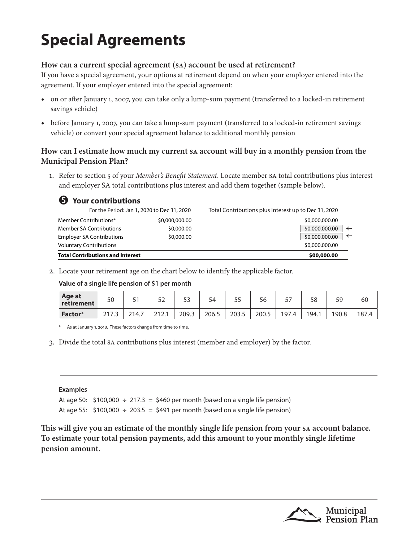# **Special Agreements**

### **How can a current special agreement (SA) account be used at retirement?**

If you have a special agreement, your options at retirement depend on when your employer entered into the agreement. If your employer entered into the special agreement:

- on or after January 1, 2007, you can take only a lump-sum payment (transferred to a locked-in retirement savings vehicle)
- before January 1, 2007, you can take a lump-sum payment (transferred to a locked-in retirement savings vehicle) or convert your special agreement balance to additional monthly pension

## **How can I estimate how much my current SA account will buy in a monthly pension from the Municipal Pension Plan?**

1. Refer to section 5 of your *Member's Benefit Statement*. Locate member SA total contributions plus interest and employer SA total contributions plus interest and add them together (sample below).

| <b>Your contributions</b>               |                                             |                                                      |  |  |  |  |  |  |  |  |  |
|-----------------------------------------|---------------------------------------------|------------------------------------------------------|--|--|--|--|--|--|--|--|--|
|                                         | For the Period: Jan 1, 2020 to Dec 31, 2020 | Total Contributions plus Interest up to Dec 31, 2020 |  |  |  |  |  |  |  |  |  |
| Member Contributions*                   | \$0,000,000.00                              | \$0,000,000.00                                       |  |  |  |  |  |  |  |  |  |
| <b>Member SA Contributions</b>          | \$0,000.00                                  | \$0,000,000.00<br>$\leftarrow$                       |  |  |  |  |  |  |  |  |  |
| <b>Employer SA Contributions</b>        | \$0,000.00                                  | $\leftarrow$<br>\$0,000,000.00                       |  |  |  |  |  |  |  |  |  |
| <b>Voluntary Contributions</b>          |                                             | \$0,000,000.00                                       |  |  |  |  |  |  |  |  |  |
| <b>Total Contributions and Interest</b> |                                             | \$00,000.00                                          |  |  |  |  |  |  |  |  |  |

2. Locate your retirement age on the chart below to identify the applicable factor.

#### **Value of a single life pension of \$1 per month**

| Age at<br>retirement | 50  |       | r J<br>∠د | ᄃᄀ<br>эs | 54    | ככ    | 56    | --<br>ر ر | 58    | 59    | 60    |
|----------------------|-----|-------|-----------|----------|-------|-------|-------|-----------|-------|-------|-------|
| Factor*              | ∠ । | 214.7 | 212.1     | 209.3    | 206.5 | 203.5 | 200.5 | 197.4     | 194.1 | 190.8 | 187.4 |

\* As at January 1, 2018. These factors change from time to time.

3. Divide the total SA contributions plus interest (member and employer) by the factor.

#### **Examples**

At age 50:  $$100,000 \div 217.3 = $460$  per month (based on a single life pension) At age 55:  $$100,000 \div 203.5 = $491$  per month (based on a single life pension)

**This will give you an estimate of the monthly single life pension from your SA account balance. To estimate your total pension payments, add this amount to your monthly single lifetime pension amount.**